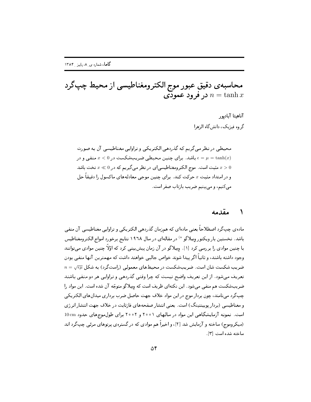محاسبه ي دقيق عبور موج الكترومغناطيسي از محيط چپگرد در فرود عمودی  $n = \tanh x$ 

 @ 4 ,4 -&8- 
 %-" - ) 
 

محيطي در نظر مي تريم كه كدردهي الكتريكي و تراوايي معناطيسي آن به صورت باشد. برای چنین محیطی ضریبشکست در  $x < 0$  منفی و در  $\epsilon = \mu = \tanh(x)$ مثبت است. موج الكترومغناطيسي اي در نظر مي گيريم كه در 0 $x \ll 0$  تخت باشد  $x > 0$ و در امتداد مثبت  $x$  حرکت کند. برای چنین موجی معادلههای ماکسول را دقیقا حل >- T r\* L G :))9 :)9

## مقدمه ᄾ

ماده ی چپ ترد اصطلاحاً یعنی مادهای که همزمان کدردهی الکتریکی و تراوایی معناطیسی آن منفی باشد. نخستین بار ویکتور وِسِلاگو <sup>۵</sup> در مقالهای در سال ۱۹۶۸ نتایج برخورد امواج الکترومغناطیس با چنین موادی را بررسی کرد [۱] . وِسِلاگو در آن زمان پیش بینی کرد که اولا چنین موادی میتوانند وجود داشته باشند، و تأنيا آخر پيدا شوند حواص جالبي حواهند داشت كه مهمترين آنها منفي بودن  $n=\sqrt{\epsilon\mu}\,$  ضریب شکست شان است. ضریبشکست در محیطهای معمولی (راستگرد) به شکل , 9 " & 9-- \*9&"e 9 N - W  >! ) FG- <sup>J</sup> \* (- - "0 ,9 <sup>J</sup> \* صریب شکست هم منفی می شود. این نکتهای طریف است که وِسِلا دو متوجه آن شده است. این مواد را چپ درد می نامند، چون بردار موج در این مواد خلاف جهت حاصل صرب برداری میدانهای الحتریحی 7 - - >A fE " >H &QT - 9J >- 3g))0. -"6 9!)Dc است. نمونه آزمایشگاهی این مواد در سالهای ۲۰۰۱ و ۲۰۰۲ برای طول موجهای حدود 10 cm (میبایلو با موج) شاخصه و از مایش شد. از این استان استادی که در استعفادی توسط ی مونتی است توت است ~ >- 
, E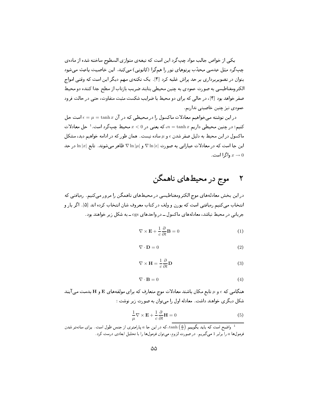" - 
,  E h0S!8- -<sup>0</sup>  c) \*  >- (- " `W "-<sup>0</sup> L8 p-0E - 94 "0 ,9 \@ >)T E (- 9 390 6 - : & - 0 &0 \* . rC Q 9 @ ?M " `W بتوان در تصویربرداری بر حد پراش علبه درد [۱] . یک نکتهی مهم دیگر این است که وقتی امواج d)Q " 
 - FS - r\* L G 9S)Q ()W  "0<@ a 0T  9!)Dc 48- $\mathcal{L}$  , and a subset of  $\mathcal{L}$  , and a subset of  $\mathcal{L}$ : - 9)TE ()W ) "0<@

 $\epsilon = \mu = \tanh x$  در این نوشته میخواهیم معادلات ماکسول را در محیطی که در آن کنیم؛ در چنین محیطی داریم $x \in \mathbb{R}$  که یعنی در  $x < 0$  محیط چپگرد است. $^{-1}$  حل معادلات ماکسول در این محیط به دلیل صفر شدن  $\epsilon$  و  $\mu$  ساده نیست. همان طور که در ادامه خواهیم دید، مشکل این جا است که در معادلات عباراتی به صورت |v ln | $\kappa$  و  $\nabla \ln |\mu|$  ظاهر میشوند. تابع  $\ln |x|$  در حد  $\ln |\mu|$ واگرا است .  $x\to 0$ 

## موج در محیطهای ناهمگن

 9 :) 9 - (+<& &d)Q " 9!)Dc 48- B0 &8"J %Z (- " انتحاب می دنیم رویافتی است که بورن و ولف در کتاب معروف شان انتحاب کرده اند [۵] . آگر بار و جریانی در محیط نباشد، معادلههای ماکسول ــ در واحدهای cgs ــ به شکل زیر خواهند بود.

$$
\nabla \times \mathbf{E} + \frac{1}{c} \frac{\partial}{\partial t} \mathbf{B} = 0 \tag{1}
$$

$$
\nabla \cdot \mathbf{D} = 0 \tag{2}
$$

$$
\nabla \times \mathbf{H} = \frac{1}{c} \frac{\partial}{\partial t} \mathbf{D}
$$
 (3)

$$
\nabla \cdot \mathbf{B} = 0 \tag{4}
$$

هنگامی که  $\epsilon$  و  $\mu$  تابع مکان باشند معادلات موج متعارف که برای مولفههای E و H بدست می آیند شکل دیگری حواهند داشت . معادله اول را میتوان به صورت زیر نوشت :

$$
\frac{1}{\mu} \nabla \times \mathbf{E} + \frac{1}{c} \frac{\partial}{\partial t} \mathbf{H} = 0
$$
\n(5)

واضح است که باید بگوییم  $\left(\frac{x}{a}\right)$ tanh که در این جا a پارامتری از جنس طول است. برای سادهتر شدن  $^1$ فرمولها ما را برابر 1 میگیریم . در صورت لزوم، می $\vec{z}$ ان فرمولها را با تحلیل ابعادی درست کرد.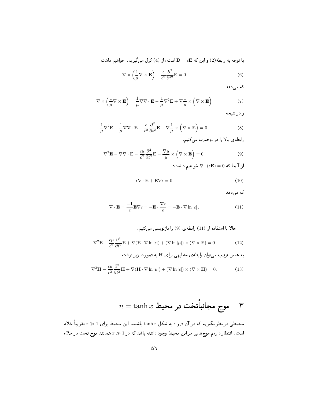با توجه به رابطه $(2)$  و این که  $\mathbf{D} = \epsilon \mathbf{E}$  است، از  $(4)$  کرل می $\mathbf{\Sigma}$ ریم. خواهیم داشت:

$$
\nabla \times \left(\frac{1}{\mu} \nabla \times \mathbf{E}\right) + \frac{\epsilon}{c^2} \frac{\partial^2}{\partial t^2} \mathbf{E} = 0
$$
 (6)

كه مى دهد

$$
\nabla \times \left(\frac{1}{\mu} \nabla \times \mathbf{E}\right) = \frac{1}{\mu} \nabla \nabla \cdot \mathbf{E} - \frac{1}{\mu} \nabla^2 \mathbf{E} + \nabla \frac{1}{\mu} \times \left(\nabla \times \mathbf{E}\right)
$$
(7)

و در نتيجه

$$
\frac{1}{\mu}\nabla^2 \mathbf{E} - \frac{1}{\mu}\nabla\nabla \cdot \mathbf{E} - \frac{\epsilon}{c^2} \frac{\partial^2}{\partial t^2} \mathbf{E} - \nabla \frac{1}{\mu} \times (\nabla \times \mathbf{E}) = 0.
$$
 (8)

رابطه ی بالا را در  $\mu$  ضرب می کنیم  $\mu$ 

$$
\nabla^2 \mathbf{E} - \nabla \nabla \cdot \mathbf{E} - \frac{\epsilon \mu}{c^2} \frac{\partial^2}{\partial t^2} \mathbf{E} + \frac{\nabla \mu}{\mu} \times \left( \nabla \times \mathbf{E} \right) = 0.
$$
 (9)

از انجا که  $\nabla \cdot (\epsilon {\bf E}) = \nabla \cdot {\bf \epsilon}$  خواهیم داشت:

$$
\epsilon \nabla \cdot \mathbf{E} + \mathbf{E} \nabla \epsilon = 0 \tag{10}
$$

که می دهد

$$
\nabla \cdot \mathbf{E} = \frac{-1}{\epsilon} \mathbf{E} \nabla \epsilon = -\mathbf{E} \cdot \frac{\nabla \epsilon}{\epsilon} = -\mathbf{E} \cdot \nabla \ln |\epsilon| \,. \tag{11}
$$

طلا با استفاده از (11) رابطهی (9) را بازویسي می کنیم.  
\n
$$
\nabla^2 \mathbf{E} - \frac{\epsilon \mu}{c^2} \frac{\partial^2}{\partial t^2} \mathbf{E} + \nabla (\mathbf{E} \cdot \nabla \ln |\epsilon|) + (\nabla \ln |\mu|) \times (\nabla \times \mathbf{E}) = 0
$$
\n(12)

به همین ترتیب میتوان رابطهی مشابهی برای H به صورت زیر نوشت.

$$
\nabla^2 \mathbf{H} - \frac{\epsilon \mu}{c^2} \frac{\partial^2}{\partial t^2} \mathbf{H} + \nabla (\mathbf{H} \cdot \nabla \ln |\mu|) + (\nabla \ln |\epsilon|) \times (\nabla \times \mathbf{H}) = 0.
$$
 (13)

$$
n = \tanh x
$$
موج مجانباًتخت در محیط

محیطی در نظر بگیریم که در آن µ و e به شکل  $\ln x$  باشند. این محیط برای 1 $x\gg x$ تقریبا خلاء است. انتظار داریم موجهایی در این محیط وجود داشته باشد که در 1  $x\gg a$ همانند موج تخت در خلاء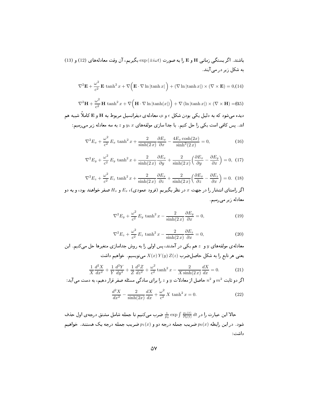باشند. اگر بستگی زمانی H و E را به صورت ( $\mathrm{exp}\left( \pm i \omega t \right)$  بگیریم، آن وقت معادلههای (12) و (13) به شکل زیر در می آیند.

$$
\nabla^2 \mathbf{E} + \frac{\omega^2}{c^2} \mathbf{E} \tanh^2 x + \nabla \left( \mathbf{E} \cdot \nabla \ln |\tanh x| \right) + (\nabla \ln |\tanh x|) \times (\nabla \times \mathbf{E}) = 0, (14)
$$

 $\nabla^2 \mathbf{H} + \frac{\omega^2}{c^2} \mathbf{H} \tanh^2 x + \nabla \left( \mathbf{H} \cdot \nabla \ln |\tanh(x|) \right) + \nabla (\ln |\tanh x|) \times (\nabla \times \mathbf{H}) = (0.5)$ دیده می شود که به دلیل یکی بودن شکل  $\epsilon$  و  $\mu$ ، معادله $\epsilon$  دیفرانسیل مربوط به H و E کاملاً شبیه هم اند. پس کافی است یکی را حل کنیم. با جدا سازی مولفههای  $x$  ، $y$  و  $z$  به سه معادله زیر میرسیم:

$$
\nabla^2 E_x + \frac{\omega^2}{c^2} E_x \tanh^2 x + \frac{2}{\sinh(2x)} \frac{\partial E_x}{\partial x} - \frac{4E_x \cosh(2x)}{\sinh^2(2x)} = 0,
$$
 (16)

$$
\nabla^2 E_y + \frac{\omega^2}{c^2} E_y \tanh^2 x + \frac{2}{\sinh(2x)} \frac{\partial E_x}{\partial y} + \frac{2}{\sinh(2x)} \left( \frac{\partial E_x}{\partial y} - \frac{\partial E_y}{\partial x} \right) = 0, \tag{17}
$$

$$
\nabla^2 E_z + \frac{\omega^2}{c^2} E_z \tanh^2 x + \frac{2}{\sinh(2x)} \frac{\partial E_x}{\partial z} + \frac{2}{\sinh(2x)} \left( \frac{\partial E_x}{\partial z} - \frac{\partial E_z}{\partial x} \right) = 0. \tag{18}
$$

اگر راستای انتشار را در جهت x در نظر بگیریم (فرود عمودی)،  $E_x$  و  $H_x$  صفر خواهند بود، و به دو معادله زیر می رسیم.

$$
\nabla^2 E_y + \frac{\omega^2}{c^2} E_y \tanh^2 x - \frac{2}{\sinh(2x)} \frac{\partial E_y}{\partial x} = 0,
$$
\n(19)

$$
\nabla^2 E_z + \frac{\omega^2}{c^2} E_z \tanh^2 x - \frac{2}{\sinh(2x)} \frac{\partial E_z}{\partial x} = 0,
$$
\n(20)

معادلهی مولفههای q و چهم یکی در آمدند، پس اولی را به روش جداسازی متغیرها حل میکنیم. این یعنی هر تابع را به شکل حاصل ضرب  $Z(z)$   $X(y)$  می نویسیم. خواهیم داشت

$$
\frac{1}{X}\frac{d^2X}{dx^2} + \frac{1}{Y}\frac{d^2Y}{dy^2} + \frac{1}{Z}\frac{d^2Z}{dz^2} + \frac{\omega^2}{c^2}\tanh^2 x - \frac{2}{X\sinh(2x)}\frac{dX}{dx} = 0.
$$
 (21)

اگر دو ثابت  $m^2$  و  $n^2$  حاصل از معادلات  $y$  و  $z$  را برای سادگی مسئله صفر قرار دهیم، به دست می $\vec{n}$ د:

$$
\frac{d^2X}{dx^2} - \frac{2}{\sinh(2x)}\frac{dX}{dx} + \frac{\omega^2}{c^2}X \tanh^2 x = 0.
$$
 (22)

حالا این عبارت را در  $\int \frac{p_1(t)}{P_0(t)}\,dt$  ضرب میکنیم تا جمله شامل مشتق درجهی اول حذف شود. در این رابطه  $p_0(x)$  ضریب جمله درجه دو و  $p_1(x)$  ضریب جمله درجه یک هستند. خواهیم داشت :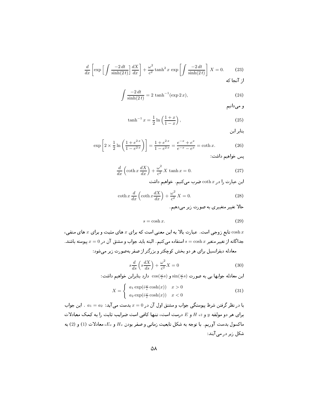$$
\frac{d}{dx}\left[\exp\left[\int \frac{-2\,dt}{\sinh(2\,t)}\right] \frac{dX}{dx}\right] + \frac{\omega^2}{c^2}\tanh^2 x \, \exp\left[\int \frac{-2\,dt}{\sinh(2\,t)}\right] \, X = 0. \tag{23}
$$

$$
\int \frac{-2 dt}{\sinh(2 t)} = 2 \tanh^{-1}(\exp 2 x),
$$
\n(24)

و مې دانيم

$$
\tanh^{-1} x = \frac{1}{2} \ln \left( \frac{1+x}{1-x} \right),\tag{25}
$$

بنابر این

$$
\exp\left[2 \times \frac{1}{2} \ln \left(\frac{1+e^{2x}}{1-e^{2x}}\right)\right] = \frac{1+e^{2x}}{1-e^{2x}} = \frac{e^{-x}+e^x}{e^{-x}-e^x} = \coth x. \tag{26}
$$

يس خواهيم داشت:

$$
\frac{d}{dx}\left(\coth x \frac{dX}{dx}\right) + \frac{\omega^2}{c^2} X \tanh x = 0.
$$
\n(27)

این عبارت را در coth x ضرب می کنیم. خواهیم داشت

$$
\coth x \frac{d}{dx} \left( \coth x \frac{dX}{dx} \right) + \frac{\omega^2}{c^2} X = 0.
$$
\n(28)

حالا تغییر متغییری به صورت زیر می،دهیم.

$$
s = \cosh x. \tag{29}
$$

، درجی است عبارت بالا به این معنبی است که برای x های مثبت و برای  $x$  های منفی $\cosh x$ جداگانه از تغییر متغیر  $x$   $x$   $\sin x$  استفاده می کنیم. البته باید جواب و مشتق آن در  $x=0$  پیوسته باشند. معادله دیفرانسیل برای هر دو بخش کوچکتر و بزرگتر از صفر بهصورت زیر مے شود:

$$
s\frac{d}{ds}\left(s\frac{dX}{ds}\right) + \frac{\omega^2}{c^2}X = 0\tag{30}
$$

اين معادله جوابها يي به صورت  $\sin(\frac{\omega}{c}s)$  و  $\cos(\frac{\omega}{c}s)$  دارد بنابراين خواهيم داشت:

$$
X = \begin{cases} a_1 \exp(i\frac{\omega}{c} \cosh(x)) & x > 0 \\ a_2 \exp(i\frac{\omega}{c} \cosh(x)) & x < 0 \end{cases}
$$
 (31)

با در نظر گرفتن شرط پیوستگی جواب و مشتق اول آن در 0 = x بدست می آید: a1 = a2 . این جواب برای هر دو مولفه  $y$  و  $x$  ،  $H$  و  $E$  درست است، تنها کافی است ضرایب ثابت را به کمک معادلات ماکسول بدست آوریم. با توجه به شکل تابعیت زمانبی و صفر بودن  $H_x$  و  $E_x$ ، معادلات (1) و (2) به شکل زیر در می آیند: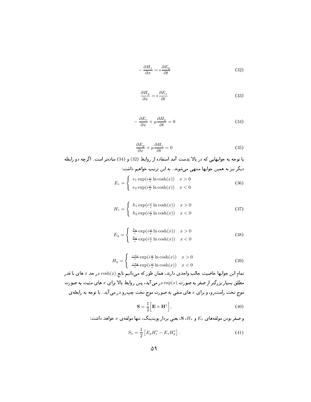$$
-\frac{\partial H_z}{\partial x} = \epsilon \frac{\partial E_y}{\partial t}
$$
\n(32)

$$
\frac{\partial H_y}{\partial x} = \epsilon \frac{\partial E_z}{\partial t} \tag{33}
$$

$$
-\frac{\partial E_z}{\partial x} + \mu \frac{\partial H_y}{\partial t} = 0 \tag{34}
$$

$$
\frac{\partial E_y}{\partial x} + \mu \frac{\partial H_z}{\partial t} = 0 \tag{35}
$$

با توجه به جوابهایی که در بالا بدست آمد استفاده از روابط (32) و (34) سادهتر است. اگرچه دو رابطه دیگر نیز به همین جوابها منتهی میشوند. به این ترتیب خواهیم داشت:

$$
E_z = \begin{cases} e_1 \exp(i\frac{\omega}{c} \ln \cosh(x)) & x > 0\\ e_2 \exp(i\frac{\omega}{c} \ln \cosh(x)) & x < 0 \end{cases}
$$
 (36)

$$
H_z = \begin{cases} h_1 \exp(i\frac{\omega}{c} \ln \cosh(x)) & x > 0\\ h_2 \exp(i\frac{\omega}{c} \ln \cosh(x)) & x < 0 \end{cases}
$$
(37)

$$
E_y = \begin{cases} \frac{h_1}{c} \exp(i\frac{\omega}{c} \ln \cosh(x)) & x > 0\\ \frac{h_2}{c} \exp(i\frac{\omega}{c} \ln \cosh(x)) & x < 0 \end{cases}
$$
(38)

$$
H_y = \begin{cases} \frac{-e_1}{c} \exp(i\frac{\omega}{c} \ln \cosh(x)) & x > 0\\ \frac{-e_2}{c} \exp(i\frac{\omega}{c} \ln \cosh(x)) & x < 0 \end{cases}
$$
(39)

تمام این جوابها خاصیت جالب واحدی دارند، همان طور که میدانیم تابع  $\cosh(x)$  در حد  $x$ های با قدر مطلق بسیار بزرگتر از صفر به صورت  $\exp(x)$  در می آید، پس روابط بالا برای  $x$  های مثبت به صورت موج تخت راست رو، و برای & های منفی به صورت موج تخت چپ رو در می آید. با توجه به رابطه ی

$$
\mathbf{S} = \frac{1}{2} \Big[ \mathbf{E} \times \mathbf{H}^* \Big], \tag{40}
$$

. و صفر بودن مولفههای  $E_x$  و  $H_x$ ،  $\mathbf S$ ، یعنی بردار پوینتینگ، تنها مولفه $x$  خواهد داشت

$$
S_x = \frac{1}{2} \left[ E_y H_z^* - E_z H_y^* \right]. \tag{41}
$$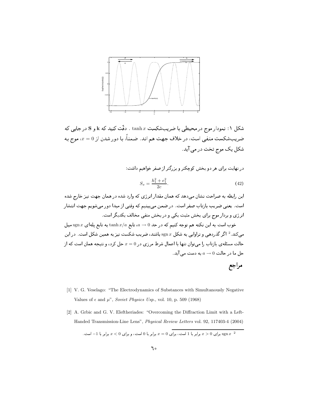

شکل ۱: نمودار موج در محیطی با ضریبشکست tanh  $x$  . دقّت کنید که k و S در جایب که ضریبشکست منفی است، در خلاف جهت هم اند. ضمناً، با دور شدن از a = 0، موج به شکل یک موج تخت در می آید.

در نهایت برای هر دو بخش کوچکتر و بزرگتر از صفر خواهیم داشت:

$$
S_x = \frac{h_1^2 + e_1^2}{2c}.
$$
\n(42)

این رابطه به صراحت نشان می دهد که همان مقدار انرژی که وارد شده در همان جهت نیز خارج شده است. یعنی ضریب بازتاب صفر است. در ضمن می بینیم که وقتی از مبدا دور می شویم جهت انتشار انرژی و بردار موج برای بخش مثبت یکی و در بخش منفی مخالف یکدیگر است.

خوب است به این نکته هم توجه کنیم که در حد 0 $a \rightarrow a \mapsto \tanh x$  به تابع یلهای  $x$  sgn  $x$  میل می کند. <sup>2</sup> اگر گذردهی و تراوایی به شکل  $x$  sgn باشند، ضریب شکست نیز به همین شکل است. در این حالت مسئلهی بازتاب را می توان تنها با اعمال شرط مرزی در  $x=0$  حل کرد، و نتیجه همان است که از  $a \rightarrow a \rightarrow 0$  حل ما در حالت  $a \rightarrow 0$  به دست می

## مراجع

- [1] V. G. Veselago: "The Electrodynamics of Substances with Simultanously Negative Values of  $\epsilon$  and  $\mu$ ", Soviet Physics Usp., vol. 10, p. 509 (1968)
- [2] A. Grbic and G. V. Eleftheriades: "Overcoming the Diffraction Limit with a Left-Handed Transmission-Line Lens", Physical Review Letters vol. 92, 117403-4 (2004)

. ج ج برابر با 1 است، برای  $x = 0$  برابر با 0 است، و برای  $x < 0$  برابر با 1– است.  $x > 0$  برابر با 1– است.